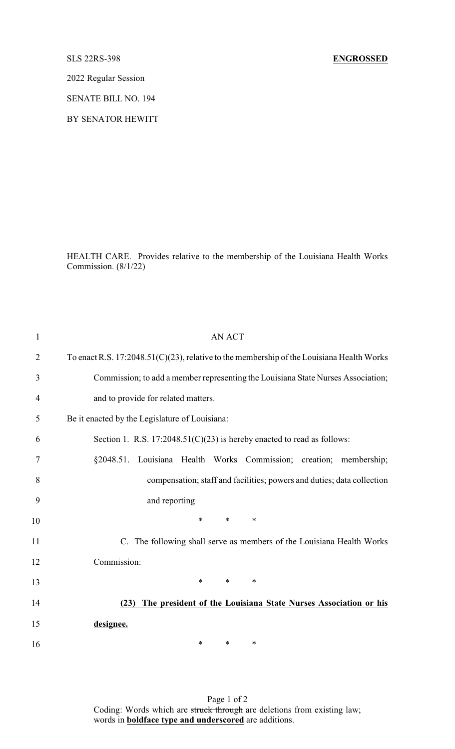2022 Regular Session

SENATE BILL NO. 194

BY SENATOR HEWITT

HEALTH CARE. Provides relative to the membership of the Louisiana Health Works Commission. (8/1/22)

| $\mathbf{1}$   | <b>AN ACT</b>                                                                             |
|----------------|-------------------------------------------------------------------------------------------|
| $\overline{2}$ | To enact R.S. 17:2048.51(C)(23), relative to the membership of the Louisiana Health Works |
| 3              | Commission; to add a member representing the Louisiana State Nurses Association;          |
| 4              | and to provide for related matters.                                                       |
| 5              | Be it enacted by the Legislature of Louisiana:                                            |
| 6              | Section 1. R.S. $17:2048.51(C)(23)$ is hereby enacted to read as follows:                 |
| 7              | §2048.51. Louisiana Health Works Commission; creation;<br>membership;                     |
| 8              | compensation; staff and facilities; powers and duties; data collection                    |
| 9              | and reporting                                                                             |
| 10             | $\ast$<br>$\ast$<br>$\ast$                                                                |
| 11             | C. The following shall serve as members of the Louisiana Health Works                     |
| 12             | Commission:                                                                               |
| 13             | $\ast$<br>$\ast$<br>∗                                                                     |
| 14             | The president of the Louisiana State Nurses Association or his<br>(23)                    |
| 15             | designee.                                                                                 |
| 16             | *<br>$\ast$<br>∗                                                                          |

Page 1 of 2 Coding: Words which are struck through are deletions from existing law; words in **boldface type and underscored** are additions.